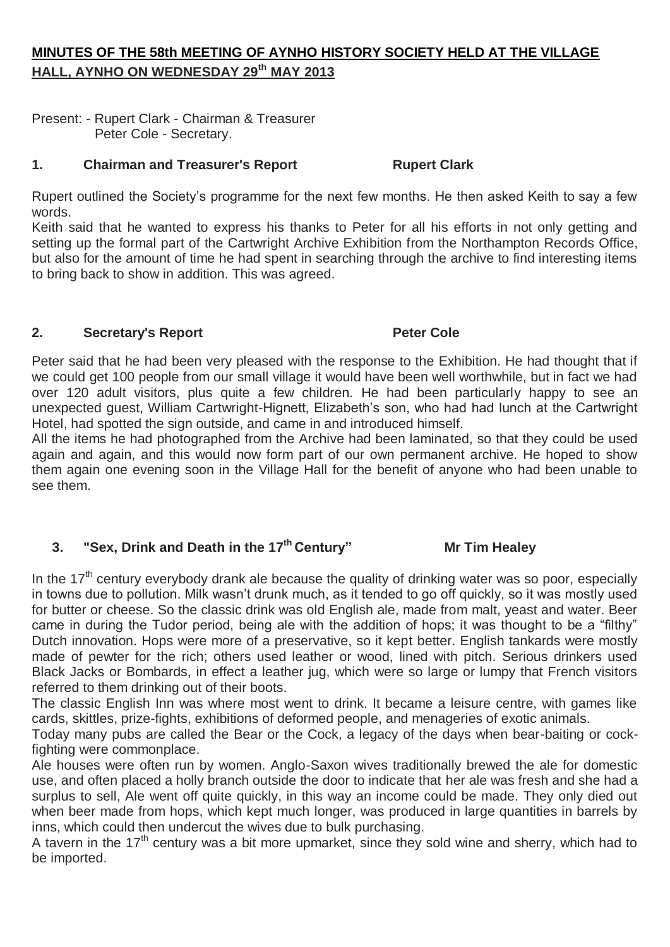## **MINUTES OF THE 58th MEETING OF AYNHO HISTORY SOCIETY HELD AT THE VILLAGE HALL, AYNHO ON WEDNESDAY 29th MAY 2013**

Present: - Rupert Clark - Chairman & Treasurer Peter Cole - Secretary.

## **1. Chairman and Treasurer's Report Rupert Clark**

Rupert outlined the Society's programme for the next few months. He then asked Keith to say a few words.

Keith said that he wanted to express his thanks to Peter for all his efforts in not only getting and setting up the formal part of the Cartwright Archive Exhibition from the Northampton Records Office, but also for the amount of time he had spent in searching through the archive to find interesting items to bring back to show in addition. This was agreed.

## **2. Secretary's Report Peter Cole**

Peter said that he had been very pleased with the response to the Exhibition. He had thought that if we could get 100 people from our small village it would have been well worthwhile, but in fact we had over 120 adult visitors, plus quite a few children. He had been particularly happy to see an unexpected guest, William Cartwright-Hignett, Elizabeth's son, who had had lunch at the Cartwright Hotel, had spotted the sign outside, and came in and introduced himself.

All the items he had photographed from the Archive had been laminated, so that they could be used again and again, and this would now form part of our own permanent archive. He hoped to show them again one evening soon in the Village Hall for the benefit of anyone who had been unable to see them.

# **3. "Sex, Drink and Death in the 17th Century" Mr Tim Healey**

In the  $17<sup>th</sup>$  century everybody drank ale because the quality of drinking water was so poor, especially in towns due to pollution. Milk wasn't drunk much, as it tended to go off quickly, so it was mostly used for butter or cheese. So the classic drink was old English ale, made from malt, yeast and water. Beer came in during the Tudor period, being ale with the addition of hops; it was thought to be a "filthy" Dutch innovation. Hops were more of a preservative, so it kept better. English tankards were mostly made of pewter for the rich; others used leather or wood, lined with pitch. Serious drinkers used Black Jacks or Bombards, in effect a leather jug, which were so large or lumpy that French visitors referred to them drinking out of their boots.

The classic English Inn was where most went to drink. It became a leisure centre, with games like cards, skittles, prize-fights, exhibitions of deformed people, and menageries of exotic animals.

Today many pubs are called the Bear or the Cock, a legacy of the days when bear-baiting or cockfighting were commonplace.

Ale houses were often run by women. Anglo-Saxon wives traditionally brewed the ale for domestic use, and often placed a holly branch outside the door to indicate that her ale was fresh and she had a surplus to sell, Ale went off quite quickly, in this way an income could be made. They only died out when beer made from hops, which kept much longer, was produced in large quantities in barrels by inns, which could then undercut the wives due to bulk purchasing.

A tavern in the 17<sup>th</sup> century was a bit more upmarket, since they sold wine and sherry, which had to be imported.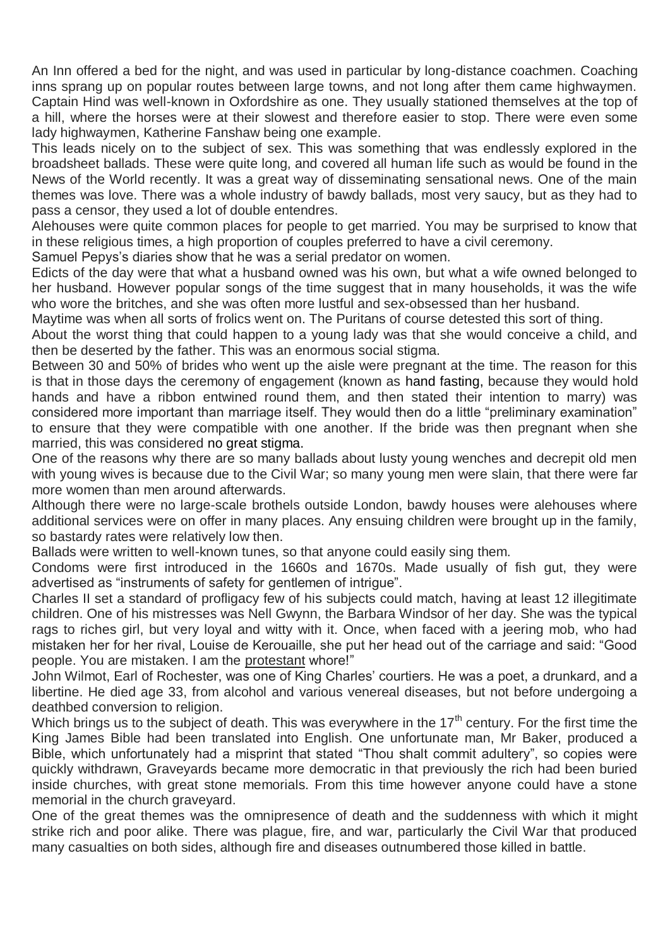An Inn offered a bed for the night, and was used in particular by long-distance coachmen. Coaching inns sprang up on popular routes between large towns, and not long after them came highwaymen. Captain Hind was well-known in Oxfordshire as one. They usually stationed themselves at the top of a hill, where the horses were at their slowest and therefore easier to stop. There were even some lady highwaymen, Katherine Fanshaw being one example.

This leads nicely on to the subject of sex. This was something that was endlessly explored in the broadsheet ballads. These were quite long, and covered all human life such as would be found in the News of the World recently. It was a great way of disseminating sensational news. One of the main themes was love. There was a whole industry of bawdy ballads, most very saucy, but as they had to pass a censor, they used a lot of double entendres.

Alehouses were quite common places for people to get married. You may be surprised to know that in these religious times, a high proportion of couples preferred to have a civil ceremony.

Samuel Pepys's diaries show that he was a serial predator on women.

Edicts of the day were that what a husband owned was his own, but what a wife owned belonged to her husband. However popular songs of the time suggest that in many households, it was the wife who wore the britches, and she was often more lustful and sex-obsessed than her husband.

Maytime was when all sorts of frolics went on. The Puritans of course detested this sort of thing.

About the worst thing that could happen to a young lady was that she would conceive a child, and then be deserted by the father. This was an enormous social stigma.

Between 30 and 50% of brides who went up the aisle were pregnant at the time. The reason for this is that in those days the ceremony of engagement (known as hand fasting, because they would hold hands and have a ribbon entwined round them, and then stated their intention to marry) was considered more important than marriage itself. They would then do a little "preliminary examination" to ensure that they were compatible with one another. If the bride was then pregnant when she married, this was considered no great stigma.

One of the reasons why there are so many ballads about lusty young wenches and decrepit old men with young wives is because due to the Civil War; so many young men were slain, that there were far more women than men around afterwards.

Although there were no large-scale brothels outside London, bawdy houses were alehouses where additional services were on offer in many places. Any ensuing children were brought up in the family, so bastardy rates were relatively low then.

Ballads were written to well-known tunes, so that anyone could easily sing them.

Condoms were first introduced in the 1660s and 1670s. Made usually of fish gut, they were advertised as "instruments of safety for gentlemen of intrigue".

Charles II set a standard of profligacy few of his subjects could match, having at least 12 illegitimate children. One of his mistresses was Nell Gwynn, the Barbara Windsor of her day. She was the typical rags to riches girl, but very loyal and witty with it. Once, when faced with a jeering mob, who had mistaken her for her rival, Louise de Kerouaille, she put her head out of the carriage and said: "Good people. You are mistaken. I am the protestant whore!"

John Wilmot, Earl of Rochester, was one of King Charles' courtiers. He was a poet, a drunkard, and a libertine. He died age 33, from alcohol and various venereal diseases, but not before undergoing a deathbed conversion to religion.

Which brings us to the subject of death. This was everywhere in the  $17<sup>th</sup>$  century. For the first time the King James Bible had been translated into English. One unfortunate man, Mr Baker, produced a Bible, which unfortunately had a misprint that stated "Thou shalt commit adultery", so copies were quickly withdrawn, Graveyards became more democratic in that previously the rich had been buried inside churches, with great stone memorials. From this time however anyone could have a stone memorial in the church graveyard.

One of the great themes was the omnipresence of death and the suddenness with which it might strike rich and poor alike. There was plague, fire, and war, particularly the Civil War that produced many casualties on both sides, although fire and diseases outnumbered those killed in battle.